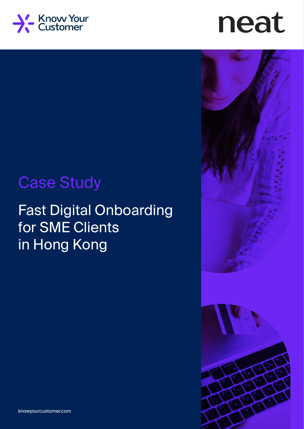

# neat





## Case Study

## Fast Digital Onboarding for SME Clients in Hong Kong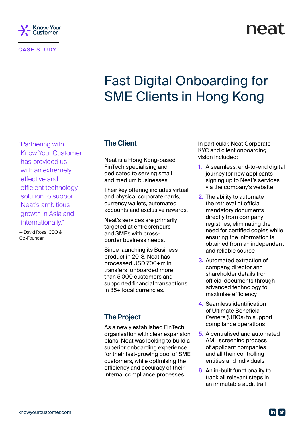

CASE STUDY

## neat

## Fast Digital Onboarding for SME Clients in Hong Kong

"Partnering with Know Your Customer has provided us with an extremely effective and efficient technology solution to support Neat's ambitious growth in Asia and internationally."

— David Rosa, CEO & Co-Founder

#### **The Client**

Neat is a Hong Kong-based FinTech specialising and dedicated to serving small and medium businesses.

Their key offering includes virtual and physical corporate cards, currency wallets, automated accounts and exclusive rewards.

Neat's services are primarily targeted at entrepreneurs and SMEs with crossborder business needs.

Since launching its Business product in 2018, Neat has processed USD 700+m in transfers, onboarded more than 5,000 customers and supported financial transactions in 35+ local currencies.

#### **The Project**

As a newly established FinTech organisation with clear expansion plans, Neat was looking to build a superior onboarding experience for their fast-growing pool of SME customers, while optimising the efficiency and accuracy of their internal compliance processes.

In particular, Neat Corporate KYC and client onboarding vision included:

- **1.** A seamless, end-to-end digital journey for new applicants signing up to Neat's services via the company's website
- **2.** The ability to automate the retrieval of official mandatory documents directly from company registries, eliminating the need for certified copies while ensuring the information is obtained from an independent and reliable source
- **3.** Automated extraction of company, director and shareholder details from official documents through advanced technology to maximise efficiency
- **4.** Seamless identification of Ultimate Beneficial Owners (UBOs) to support compliance operations
- **5.** A centralised and automated AML screening process of applicant companies and all their controlling entities and individuals
- **6.** An in-built functionality to track all relevant steps in an immutable audit trail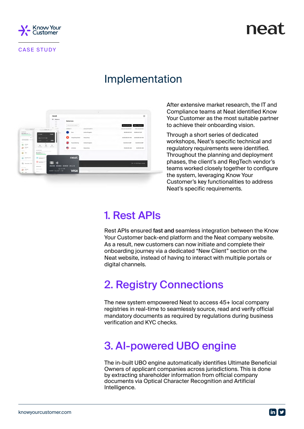

## neat

### Implementation



After extensive market research, the IT and Compliance teams at Neat identified Know Your Customer as the most suitable partner to achieve their onboarding vision.

Through a short series of dedicated workshops, Neat's specific technical and regulatory requirements were identified. Throughout the planning and deployment phases, the client's and RegTech vendor's teams worked closely together to configure the system, leveraging Know Your Customer's key functionalities to address Neat's specific requirements.

### 1. Rest APIs

Rest APIs ensured fast and seamless integration between the Know Your Customer back-end platform and the Neat company website. As a result, new customers can now initiate and complete their onboarding journey via a dedicated "New Client" section on the Neat website, instead of having to interact with multiple portals or digital channels.

### 2. Registry Connections

The new system empowered Neat to access 45+ local company registries in real-time to seamlessly source, read and verify official mandatory documents as required by regulations during business verification and KYC checks.

### 3. AI-powered UBO engine

The in-built UBO engine automatically identifies Ultimate Beneficial Owners of applicant companies across jurisdictions. This is done by extracting shareholder information from official company documents via Optical Character Recognition and Artificial Intelligence.

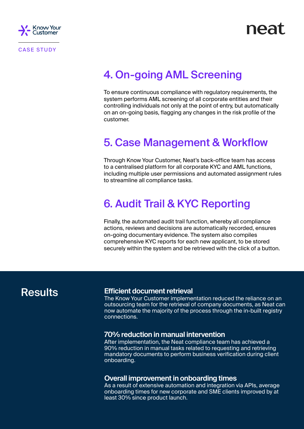

### 4. On-going AML Screening

To ensure continuous compliance with regulatory requirements, the system performs AML screening of all corporate entities and their controlling individuals not only at the point of entry, but automatically on an on-going basis, flagging any changes in the risk profile of the customer.

#### 5. Case Management & Workflow

Through Know Your Customer, Neat's back-office team has access to a centralised platform for all corporate KYC and AML functions, including multiple user permissions and automated assignment rules to streamline all compliance tasks.

### 6. Audit Trail & KYC Reporting

Finally, the automated audit trail function, whereby all compliance actions, reviews and decisions are automatically recorded, ensures on-going documentary evidence. The system also compiles comprehensive KYC reports for each new applicant, to be stored securely within the system and be retrieved with the click of a button.

#### **Results**

#### **Efficient document retrieval**

The Know Your Customer implementation reduced the reliance on an outsourcing team for the retrieval of company documents, as Neat can now automate the majority of the process through the in-built registry connections.

#### **70% reduction in manual intervention**

After implementation, the Neat compliance team has achieved a 90% reduction in manual tasks related to requesting and retrieving mandatory documents to perform business verification during client onboarding.

#### **Overall improvement in onboarding times**

As a result of extensive automation and integration via APIs, average onboarding times for new corporate and SME clients improved by at least 30% since product launch.